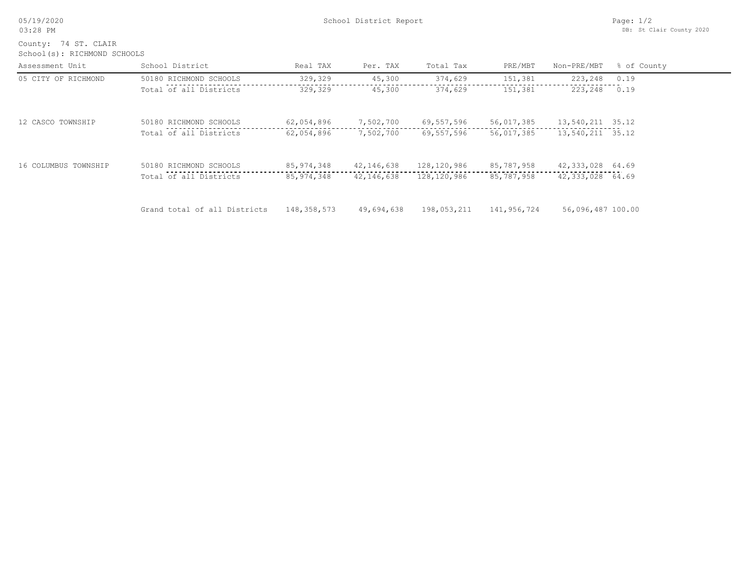|  |  | 05/19/2020 |  |
|--|--|------------|--|
|--|--|------------|--|

School(s): RICHMOND SCHOOLS County: 74 ST. CLAIR

| Assessment Unit      | School District              | Real TAX     | Per. TAX   | Total Tax   | PRE/MBT     | Non-PRE/MBT       | % of County |
|----------------------|------------------------------|--------------|------------|-------------|-------------|-------------------|-------------|
| 05 CITY OF RICHMOND  | 50180 RICHMOND SCHOOLS       | 329,329      | 45,300     | 374,629     | 151,381     | 223,248           | 0.19        |
|                      | Total of all Districts       | 329,329      | 45,300     | 374,629     | 151,381     | 223,248           | 0.19        |
| 12 CASCO TOWNSHIP    | 50180 RICHMOND SCHOOLS       | 62,054,896   | 7,502,700  | 69,557,596  | 56,017,385  | 13,540,211 35.12  |             |
|                      | Total of all Districts       | 62,054,896   | 7,502,700  | 69,557,596  | 56,017,385  | 13,540,211 35.12  |             |
| 16 COLUMBUS TOWNSHIP | 50180 RICHMOND SCHOOLS       | 85, 974, 348 | 42,146,638 | 128,120,986 | 85,787,958  | 42,333,028 64.69  |             |
|                      | Total of all Districts       | 85, 974, 348 | 42,146,638 | 128,120,986 | 85,787,958  | 42,333,028 64.69  |             |
|                      | Grand total of all Districts | 148,358,573  | 49,694,638 | 198,053,211 | 141,956,724 | 56,096,487 100.00 |             |